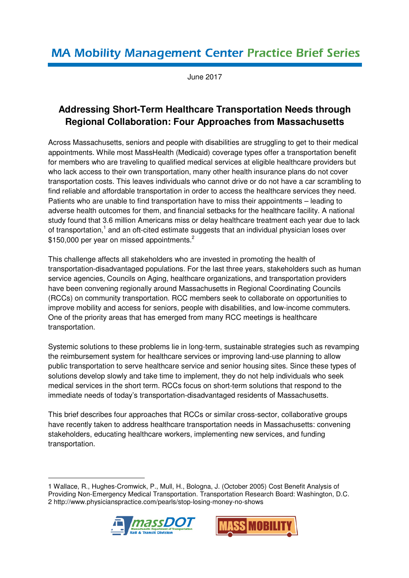# **MA Mobility Management Center Practice Brief Series**

June 2017

# **Addressing Short-Term Healthcare Transportation Needs through Regional Collaboration: Four Approaches from Massachusetts**

Across Massachusetts, seniors and people with disabilities are struggling to get to their medical appointments. While most MassHealth (Medicaid) coverage types offer a transportation benefit for members who are traveling to qualified medical services at eligible healthcare providers but who lack access to their own transportation, many other health insurance plans do not cover transportation costs. This leaves individuals who cannot drive or do not have a car scrambling to find reliable and affordable transportation in order to access the healthcare services they need. Patients who are unable to find transportation have to miss their appointments – leading to adverse health outcomes for them, and financial setbacks for the healthcare facility. A national study found that 3.6 million Americans miss or delay healthcare treatment each year due to lack of transportation,<sup>1</sup> and an oft-cited estimate suggests that an individual physician loses over \$150,000 per year on missed appointments.<sup>2</sup>

This challenge affects all stakeholders who are invested in promoting the health of transportation-disadvantaged populations. For the last three years, stakeholders such as human service agencies, Councils on Aging, healthcare organizations, and transportation providers have been convening regionally around Massachusetts in Regional Coordinating Councils (RCCs) on community transportation. RCC members seek to collaborate on opportunities to improve mobility and access for seniors, people with disabilities, and low-income commuters. One of the priority areas that has emerged from many RCC meetings is healthcare transportation.

Systemic solutions to these problems lie in long-term, sustainable strategies such as revamping the reimbursement system for healthcare services or improving land-use planning to allow public transportation to serve healthcare service and senior housing sites. Since these types of solutions develop slowly and take time to implement, they do not help individuals who seek medical services in the short term. RCCs focus on short-term solutions that respond to the immediate needs of today's transportation-disadvantaged residents of Massachusetts.

This brief describes four approaches that RCCs or similar cross-sector, collaborative groups have recently taken to address healthcare transportation needs in Massachusetts: convening stakeholders, educating healthcare workers, implementing new services, and funding transportation.

<sup>1</sup> Wallace, R., Hughes-Cromwick, P., Mull, H., Bologna, J. (October 2005) Cost Benefit Analysis of Providing Non-Emergency Medical Transportation. Transportation Research Board: Washington, D.C. 2 http://www.physicianspractice.com/pearls/stop-losing-money-no-shows



<u>.</u>

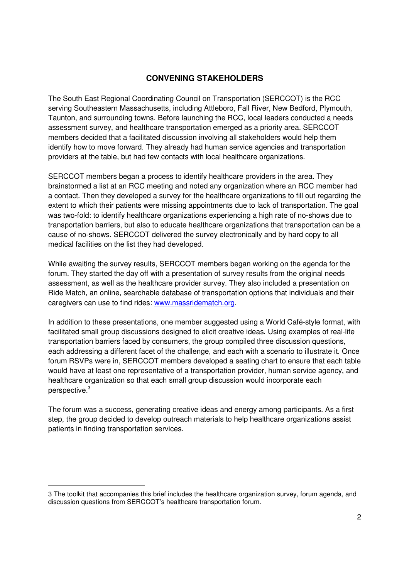# **CONVENING STAKEHOLDERS**

The South East Regional Coordinating Council on Transportation (SERCCOT) is the RCC serving Southeastern Massachusetts, including Attleboro, Fall River, New Bedford, Plymouth, Taunton, and surrounding towns. Before launching the RCC, local leaders conducted a needs assessment survey, and healthcare transportation emerged as a priority area. SERCCOT members decided that a facilitated discussion involving all stakeholders would help them identify how to move forward. They already had human service agencies and transportation providers at the table, but had few contacts with local healthcare organizations.

SERCCOT members began a process to identify healthcare providers in the area. They brainstormed a list at an RCC meeting and noted any organization where an RCC member had a contact. Then they developed a survey for the healthcare organizations to fill out regarding the extent to which their patients were missing appointments due to lack of transportation. The goal was two-fold: to identify healthcare organizations experiencing a high rate of no-shows due to transportation barriers, but also to educate healthcare organizations that transportation can be a cause of no-shows. SERCCOT delivered the survey electronically and by hard copy to all medical facilities on the list they had developed.

While awaiting the survey results, SERCCOT members began working on the agenda for the forum. They started the day off with a presentation of survey results from the original needs assessment, as well as the healthcare provider survey. They also included a presentation on Ride Match, an online, searchable database of transportation options that individuals and their caregivers can use to find rides: www.massridematch.org.

In addition to these presentations, one member suggested using a World Café-style format, with facilitated small group discussions designed to elicit creative ideas. Using examples of real-life transportation barriers faced by consumers, the group compiled three discussion questions, each addressing a different facet of the challenge, and each with a scenario to illustrate it. Once forum RSVPs were in, SERCCOT members developed a seating chart to ensure that each table would have at least one representative of a transportation provider, human service agency, and healthcare organization so that each small group discussion would incorporate each perspective.<sup>3</sup>

The forum was a success, generating creative ideas and energy among participants. As a first step, the group decided to develop outreach materials to help healthcare organizations assist patients in finding transportation services.

<u>.</u>

<sup>3</sup> The toolkit that accompanies this brief includes the healthcare organization survey, forum agenda, and discussion questions from SERCCOT's healthcare transportation forum.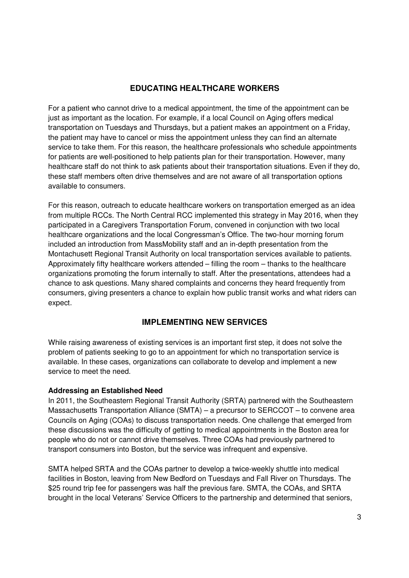# **EDUCATING HEALTHCARE WORKERS**

For a patient who cannot drive to a medical appointment, the time of the appointment can be just as important as the location. For example, if a local Council on Aging offers medical transportation on Tuesdays and Thursdays, but a patient makes an appointment on a Friday, the patient may have to cancel or miss the appointment unless they can find an alternate service to take them. For this reason, the healthcare professionals who schedule appointments for patients are well-positioned to help patients plan for their transportation. However, many healthcare staff do not think to ask patients about their transportation situations. Even if they do, these staff members often drive themselves and are not aware of all transportation options available to consumers.

For this reason, outreach to educate healthcare workers on transportation emerged as an idea from multiple RCCs. The North Central RCC implemented this strategy in May 2016, when they participated in a Caregivers Transportation Forum, convened in conjunction with two local healthcare organizations and the local Congressman's Office. The two-hour morning forum included an introduction from MassMobility staff and an in-depth presentation from the Montachusett Regional Transit Authority on local transportation services available to patients. Approximately fifty healthcare workers attended – filling the room – thanks to the healthcare organizations promoting the forum internally to staff. After the presentations, attendees had a chance to ask questions. Many shared complaints and concerns they heard frequently from consumers, giving presenters a chance to explain how public transit works and what riders can expect.

# **IMPLEMENTING NEW SERVICES**

While raising awareness of existing services is an important first step, it does not solve the problem of patients seeking to go to an appointment for which no transportation service is available. In these cases, organizations can collaborate to develop and implement a new service to meet the need.

# **Addressing an Established Need**

In 2011, the Southeastern Regional Transit Authority (SRTA) partnered with the Southeastern Massachusetts Transportation Alliance (SMTA) – a precursor to SERCCOT – to convene area Councils on Aging (COAs) to discuss transportation needs. One challenge that emerged from these discussions was the difficulty of getting to medical appointments in the Boston area for people who do not or cannot drive themselves. Three COAs had previously partnered to transport consumers into Boston, but the service was infrequent and expensive.

SMTA helped SRTA and the COAs partner to develop a twice-weekly shuttle into medical facilities in Boston, leaving from New Bedford on Tuesdays and Fall River on Thursdays. The \$25 round trip fee for passengers was half the previous fare. SMTA, the COAs, and SRTA brought in the local Veterans' Service Officers to the partnership and determined that seniors,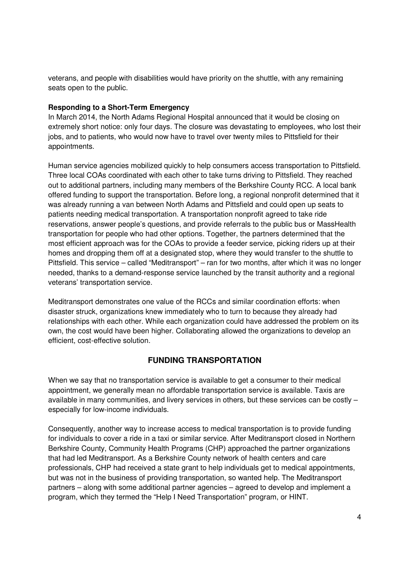veterans, and people with disabilities would have priority on the shuttle, with any remaining seats open to the public.

#### **Responding to a Short-Term Emergency**

In March 2014, the North Adams Regional Hospital announced that it would be closing on extremely short notice: only four days. The closure was devastating to employees, who lost their jobs, and to patients, who would now have to travel over twenty miles to Pittsfield for their appointments.

Human service agencies mobilized quickly to help consumers access transportation to Pittsfield. Three local COAs coordinated with each other to take turns driving to Pittsfield. They reached out to additional partners, including many members of the Berkshire County RCC. A local bank offered funding to support the transportation. Before long, a regional nonprofit determined that it was already running a van between North Adams and Pittsfield and could open up seats to patients needing medical transportation. A transportation nonprofit agreed to take ride reservations, answer people's questions, and provide referrals to the public bus or MassHealth transportation for people who had other options. Together, the partners determined that the most efficient approach was for the COAs to provide a feeder service, picking riders up at their homes and dropping them off at a designated stop, where they would transfer to the shuttle to Pittsfield. This service – called "Meditransport" – ran for two months, after which it was no longer needed, thanks to a demand-response service launched by the transit authority and a regional veterans' transportation service.

Meditransport demonstrates one value of the RCCs and similar coordination efforts: when disaster struck, organizations knew immediately who to turn to because they already had relationships with each other. While each organization could have addressed the problem on its own, the cost would have been higher. Collaborating allowed the organizations to develop an efficient, cost-effective solution.

# **FUNDING TRANSPORTATION**

When we say that no transportation service is available to get a consumer to their medical appointment, we generally mean no affordable transportation service is available. Taxis are available in many communities, and livery services in others, but these services can be costly – especially for low-income individuals.

Consequently, another way to increase access to medical transportation is to provide funding for individuals to cover a ride in a taxi or similar service. After Meditransport closed in Northern Berkshire County, Community Health Programs (CHP) approached the partner organizations that had led Meditransport. As a Berkshire County network of health centers and care professionals, CHP had received a state grant to help individuals get to medical appointments, but was not in the business of providing transportation, so wanted help. The Meditransport partners – along with some additional partner agencies – agreed to develop and implement a program, which they termed the "Help I Need Transportation" program, or HINT.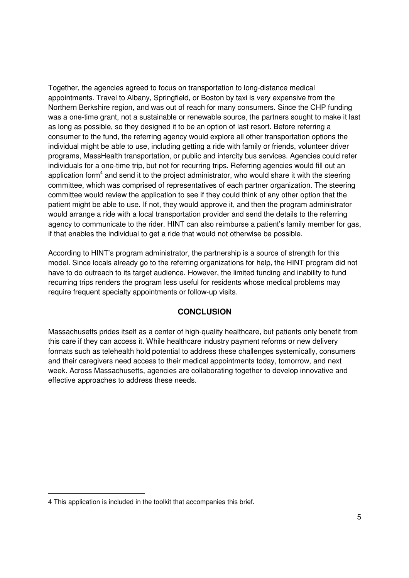Together, the agencies agreed to focus on transportation to long-distance medical appointments. Travel to Albany, Springfield, or Boston by taxi is very expensive from the Northern Berkshire region, and was out of reach for many consumers. Since the CHP funding was a one-time grant, not a sustainable or renewable source, the partners sought to make it last as long as possible, so they designed it to be an option of last resort. Before referring a consumer to the fund, the referring agency would explore all other transportation options the individual might be able to use, including getting a ride with family or friends, volunteer driver programs, MassHealth transportation, or public and intercity bus services. Agencies could refer individuals for a one-time trip, but not for recurring trips. Referring agencies would fill out an application form<sup>4</sup> and send it to the project administrator, who would share it with the steering committee, which was comprised of representatives of each partner organization. The steering committee would review the application to see if they could think of any other option that the patient might be able to use. If not, they would approve it, and then the program administrator would arrange a ride with a local transportation provider and send the details to the referring agency to communicate to the rider. HINT can also reimburse a patient's family member for gas, if that enables the individual to get a ride that would not otherwise be possible.

According to HINT's program administrator, the partnership is a source of strength for this model. Since locals already go to the referring organizations for help, the HINT program did not have to do outreach to its target audience. However, the limited funding and inability to fund recurring trips renders the program less useful for residents whose medical problems may require frequent specialty appointments or follow-up visits.

# **CONCLUSION**

Massachusetts prides itself as a center of high-quality healthcare, but patients only benefit from this care if they can access it. While healthcare industry payment reforms or new delivery formats such as telehealth hold potential to address these challenges systemically, consumers and their caregivers need access to their medical appointments today, tomorrow, and next week. Across Massachusetts, agencies are collaborating together to develop innovative and effective approaches to address these needs.

<u>.</u>

<sup>4</sup> This application is included in the toolkit that accompanies this brief.